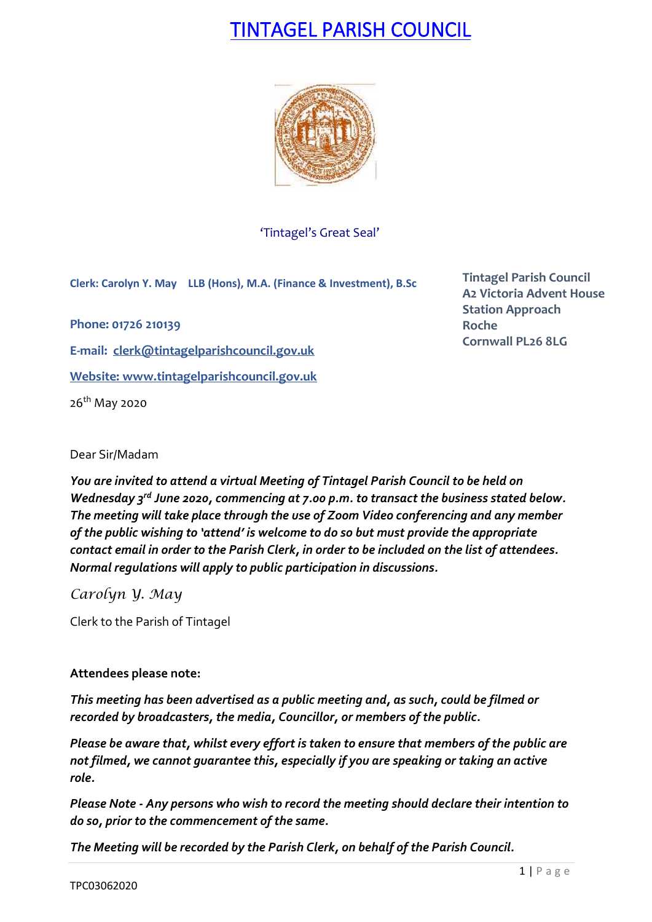# TINTAGEL PARISH COUNCIL



'Tintagel's Great Seal'

**Clerk: Carolyn Y. May LLB (Hons), M.A. (Finance & Investment), B.Sc**

**Phone: 01726 210139**

**E-mail: [clerk@tintagelparishcouncil.gov.uk](mailto:clerk@tintagelparishcouncil.gov.uk)**

**Website: [www.tintagelparishcouncil.gov.uk](http://www.tintagelparishcouncil.gov.uk/)**

26th May 2020

**Tintagel Parish Council A2 Victoria Advent House Station Approach Roche Cornwall PL26 8LG**

Dear Sir/Madam

*You are invited to attend a virtual Meeting of Tintagel Parish Council to be held on Wednesday 3 rd June 2020, commencing at 7.00 p.m. to transact the business stated below. The meeting will take place through the use of Zoom Video conferencing and any member of the public wishing to 'attend' is welcome to do so but must provide the appropriate contact email in order to the Parish Clerk, in order to be included on the list of attendees. Normal regulations will apply to public participation in discussions.*

*Carolyn Y. May*

Clerk to the Parish of Tintagel

# **Attendees please note:**

*This meeting has been advertised as a public meeting and, as such, could be filmed or recorded by broadcasters, the media, Councillor, or members of the public.*

*Please be aware that, whilst every effort is taken to ensure that members of the public are not filmed, we cannot guarantee this, especially if you are speaking or taking an active role.*

*Please Note - Any persons who wish to record the meeting should declare their intention to do so, prior to the commencement of the same.*

*The Meeting will be recorded by the Parish Clerk, on behalf of the Parish Council.*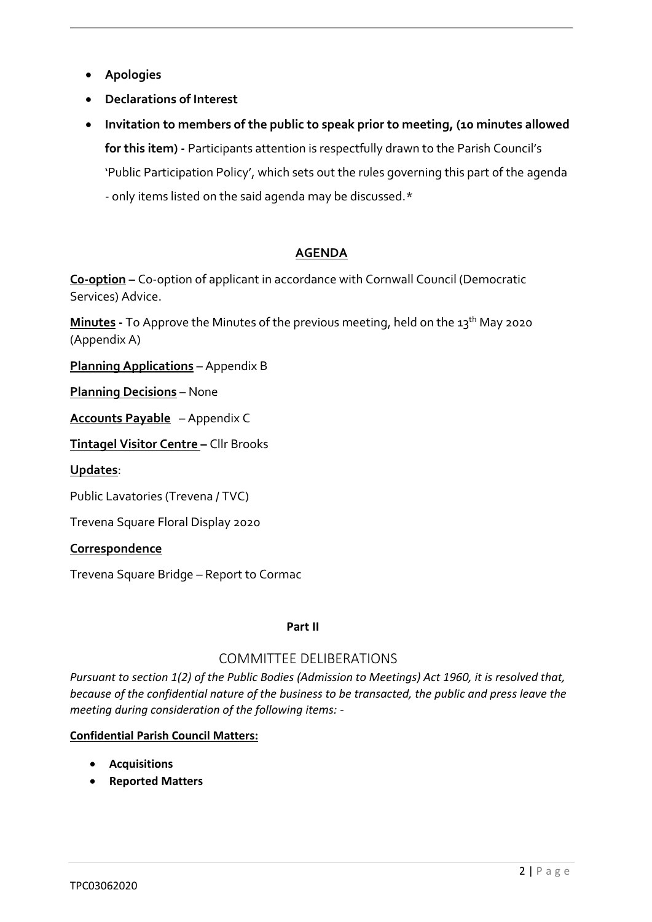- **Apologies**
- **Declarations of Interest**
- **Invitation to members of the public to speak prior to meeting, (10 minutes allowed for this item) -** Participants attention is respectfully drawn to the Parish Council's 'Public Participation Policy', which sets out the rules governing this part of the agenda - only items listed on the said agenda may be discussed.\*

# **AGENDA**

**C0-option –** Co-option of applicant in accordance with Cornwall Council (Democratic Services) Advice.

**Minutes** - To Approve the Minutes of the previous meeting, held on the 13<sup>th</sup> May 2020 (Appendix A)

**Planning Applications** – Appendix B

**Planning Decisions** – None

**Accounts Payable** – Appendix C

**Tintagel Visitor Centre –** Cllr Brooks

**Updates**:

Public Lavatories (Trevena / TVC)

Trevena Square Floral Display 2020

# **Correspondence**

Trevena Square Bridge – Report to Cormac

#### **Part II**

# COMMITTEE DELIBERATIONS

*Pursuant to section 1(2) of the Public Bodies (Admission to Meetings) Act 1960, it is resolved that, because of the confidential nature of the business to be transacted, the public and press leave the meeting during consideration of the following items: -*

# **Confidential Parish Council Matters:**

- **Acquisitions**
- **Reported Matters**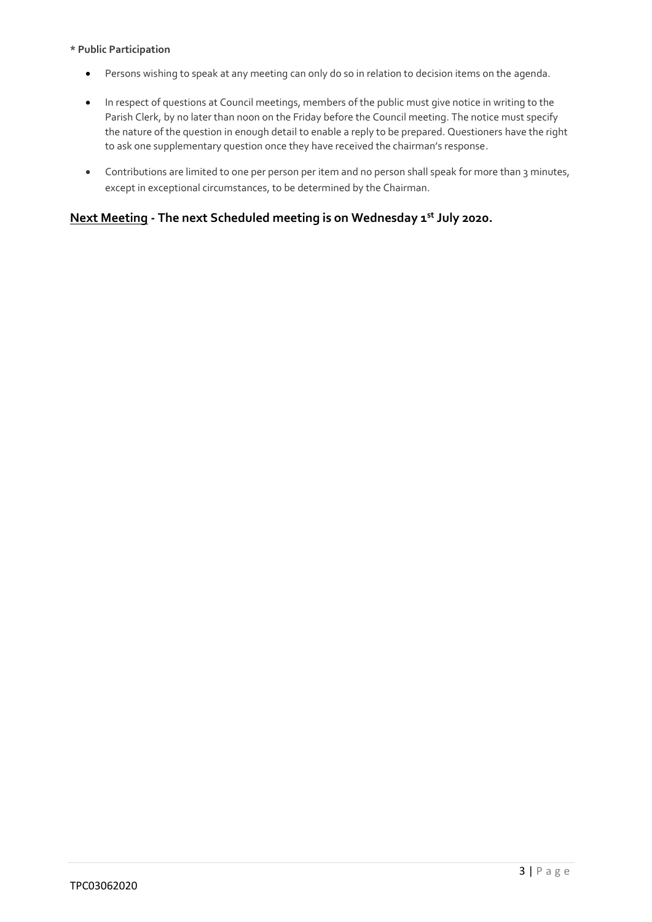#### **\* Public Participation**

- Persons wishing to speak at any meeting can only do so in relation to decision items on the agenda.
- In respect of questions at Council meetings, members of the public must give notice in writing to the Parish Clerk, by no later than noon on the Friday before the Council meeting. The notice must specify the nature of the question in enough detail to enable a reply to be prepared. Questioners have the right to ask one supplementary question once they have received the chairman's response.
- Contributions are limited to one per person per item and no person shall speak for more than 3 minutes, except in exceptional circumstances, to be determined by the Chairman.

# **Next Meeting - The next Scheduled meeting is on Wednesday 1 st July 2020.**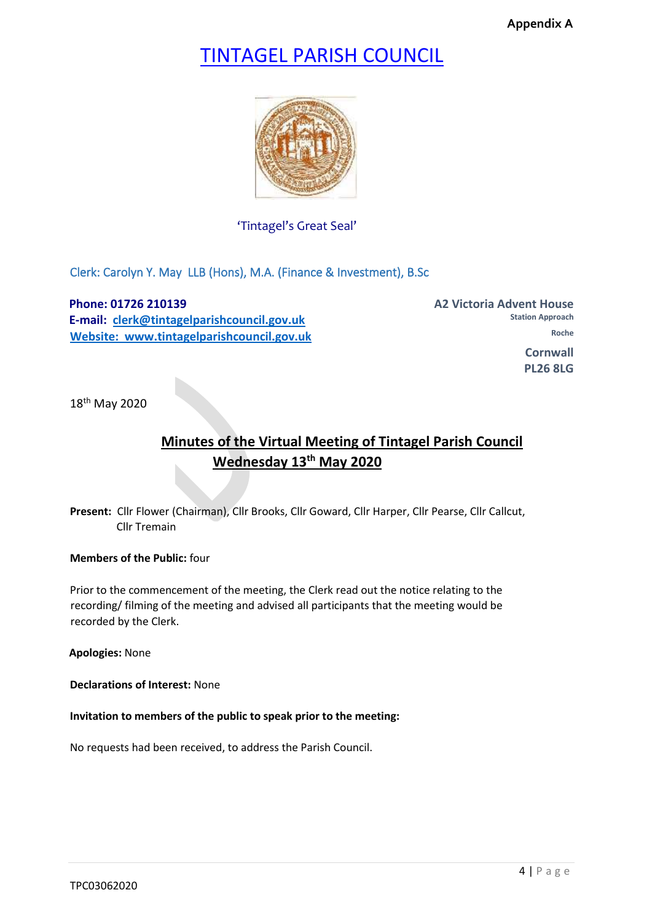**Appendix A**

# TINTAGEL PARISH COUNCIL



'Tintagel's Great Seal'

Clerk: Carolyn Y. May LLB (Hons), M.A. (Finance & Investment), B.Sc

**Phone: 01726 210139 A2 Victoria Advent House A2 Victoria Advent House E-mail: clerk@tintagelparishcouncil.gov.uk Website: www.tintagelparishcouncil.gov.uk Roche <b>Roche** Roche **Roche** 

**Station Approach Cornwall Cornwall PL26 8LG** 

18th May 2020

# **Minutes of the Virtual Meeting of Tintagel Parish Council Wednesday 13th May 2020**

**Present:** Cllr Flower (Chairman), Cllr Brooks, Cllr Goward, Cllr Harper, Cllr Pearse, Cllr Callcut, Cllr Tremain

**Members of the Public:** four

Prior to the commencement of the meeting, the Clerk read out the notice relating to the recording/ filming of the meeting and advised all participants that the meeting would be recorded by the Clerk.

**Apologies:** None

**Declarations of Interest:** None

**Invitation to members of the public to speak prior to the meeting:**

No requests had been received, to address the Parish Council.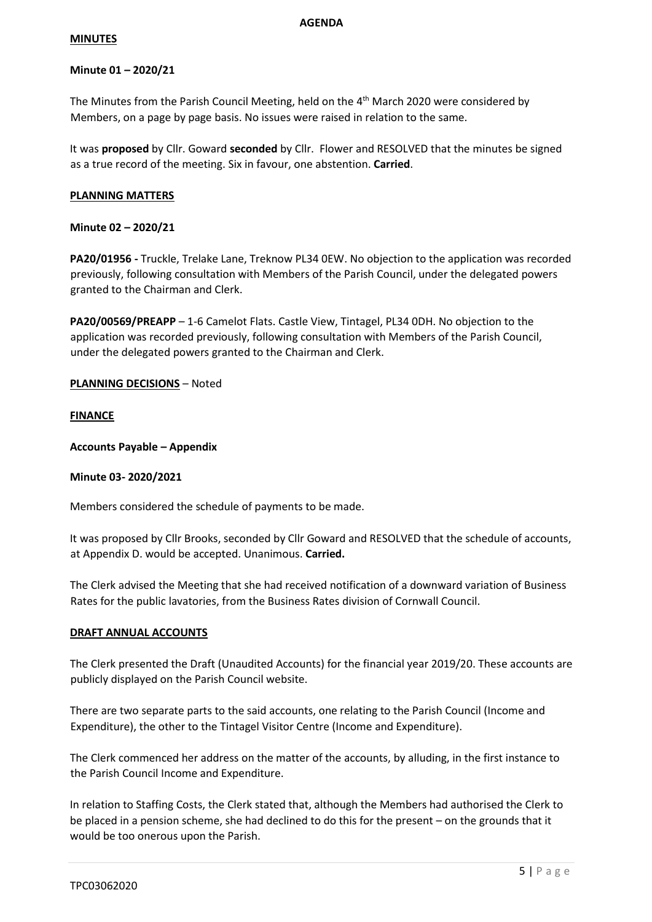#### **MINUTES**

#### **Minute 01 – 2020/21**

The Minutes from the Parish Council Meeting, held on the 4<sup>th</sup> March 2020 were considered by Members, on a page by page basis. No issues were raised in relation to the same.

It was **proposed** by Cllr. Goward **seconded** by Cllr. Flower and RESOLVED that the minutes be signed as a true record of the meeting. Six in favour, one abstention. **Carried**.

#### **PLANNING MATTERS**

#### **Minute 02 – 2020/21**

**PA20/01956 -** Truckle, Trelake Lane, Treknow PL34 0EW. No objection to the application was recorded previously, following consultation with Members of the Parish Council, under the delegated powers granted to the Chairman and Clerk.

**PA20/00569/PREAPP** – 1-6 Camelot Flats. Castle View, Tintagel, PL34 0DH. No objection to the application was recorded previously, following consultation with Members of the Parish Council, under the delegated powers granted to the Chairman and Clerk.

#### **PLANNING DECISIONS** – Noted

#### **FINANCE**

**Accounts Payable – Appendix** 

#### **Minute 03- 2020/2021**

Members considered the schedule of payments to be made.

It was proposed by Cllr Brooks, seconded by Cllr Goward and RESOLVED that the schedule of accounts, at Appendix D. would be accepted. Unanimous. **Carried.**

The Clerk advised the Meeting that she had received notification of a downward variation of Business Rates for the public lavatories, from the Business Rates division of Cornwall Council.

#### **DRAFT ANNUAL ACCOUNTS**

The Clerk presented the Draft (Unaudited Accounts) for the financial year 2019/20. These accounts are publicly displayed on the Parish Council website.

There are two separate parts to the said accounts, one relating to the Parish Council (Income and Expenditure), the other to the Tintagel Visitor Centre (Income and Expenditure).

The Clerk commenced her address on the matter of the accounts, by alluding, in the first instance to the Parish Council Income and Expenditure.

In relation to Staffing Costs, the Clerk stated that, although the Members had authorised the Clerk to be placed in a pension scheme, she had declined to do this for the present – on the grounds that it would be too onerous upon the Parish.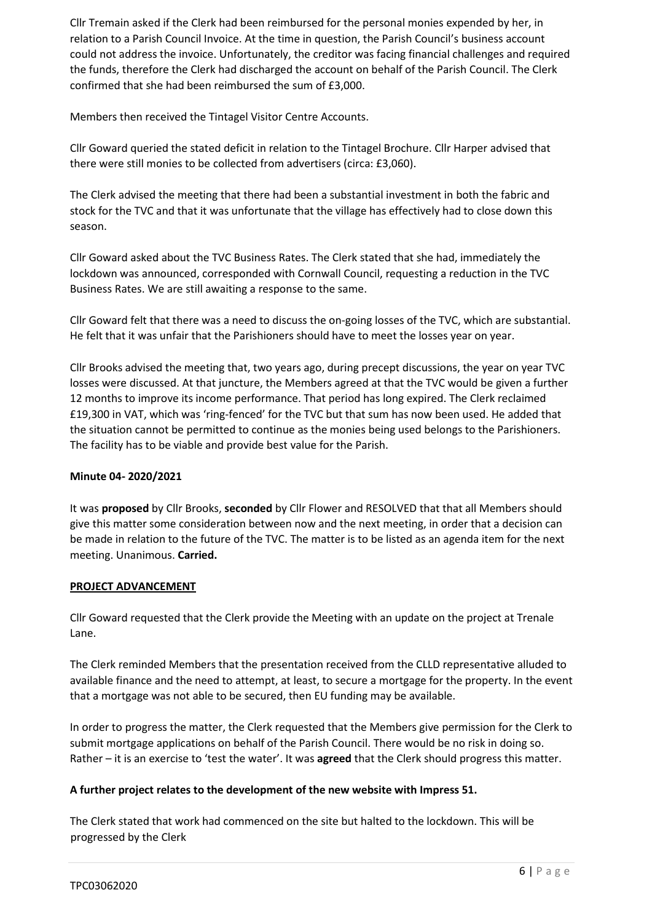Cllr Tremain asked if the Clerk had been reimbursed for the personal monies expended by her, in relation to a Parish Council Invoice. At the time in question, the Parish Council's business account could not address the invoice. Unfortunately, the creditor was facing financial challenges and required the funds, therefore the Clerk had discharged the account on behalf of the Parish Council. The Clerk confirmed that she had been reimbursed the sum of £3,000.

Members then received the Tintagel Visitor Centre Accounts.

Cllr Goward queried the stated deficit in relation to the Tintagel Brochure. Cllr Harper advised that there were still monies to be collected from advertisers (circa: £3,060).

The Clerk advised the meeting that there had been a substantial investment in both the fabric and stock for the TVC and that it was unfortunate that the village has effectively had to close down this season.

Cllr Goward asked about the TVC Business Rates. The Clerk stated that she had, immediately the lockdown was announced, corresponded with Cornwall Council, requesting a reduction in the TVC Business Rates. We are still awaiting a response to the same.

Cllr Goward felt that there was a need to discuss the on-going losses of the TVC, which are substantial. He felt that it was unfair that the Parishioners should have to meet the losses year on year.

Cllr Brooks advised the meeting that, two years ago, during precept discussions, the year on year TVC losses were discussed. At that juncture, the Members agreed at that the TVC would be given a further 12 months to improve its income performance. That period has long expired. The Clerk reclaimed £19,300 in VAT, which was 'ring-fenced' for the TVC but that sum has now been used. He added that the situation cannot be permitted to continue as the monies being used belongs to the Parishioners. The facility has to be viable and provide best value for the Parish.

#### **Minute 04- 2020/2021**

It was **proposed** by Cllr Brooks, **seconded** by Cllr Flower and RESOLVED that that all Members should give this matter some consideration between now and the next meeting, in order that a decision can be made in relation to the future of the TVC. The matter is to be listed as an agenda item for the next meeting. Unanimous. **Carried.**

# **PROJECT ADVANCEMENT**

Cllr Goward requested that the Clerk provide the Meeting with an update on the project at Trenale Lane.

The Clerk reminded Members that the presentation received from the CLLD representative alluded to available finance and the need to attempt, at least, to secure a mortgage for the property. In the event that a mortgage was not able to be secured, then EU funding may be available.

In order to progress the matter, the Clerk requested that the Members give permission for the Clerk to submit mortgage applications on behalf of the Parish Council. There would be no risk in doing so. Rather – it is an exercise to 'test the water'. It was **agreed** that the Clerk should progress this matter.

# **A further project relates to the development of the new website with Impress 51.**

The Clerk stated that work had commenced on the site but halted to the lockdown. This will be progressed by the Clerk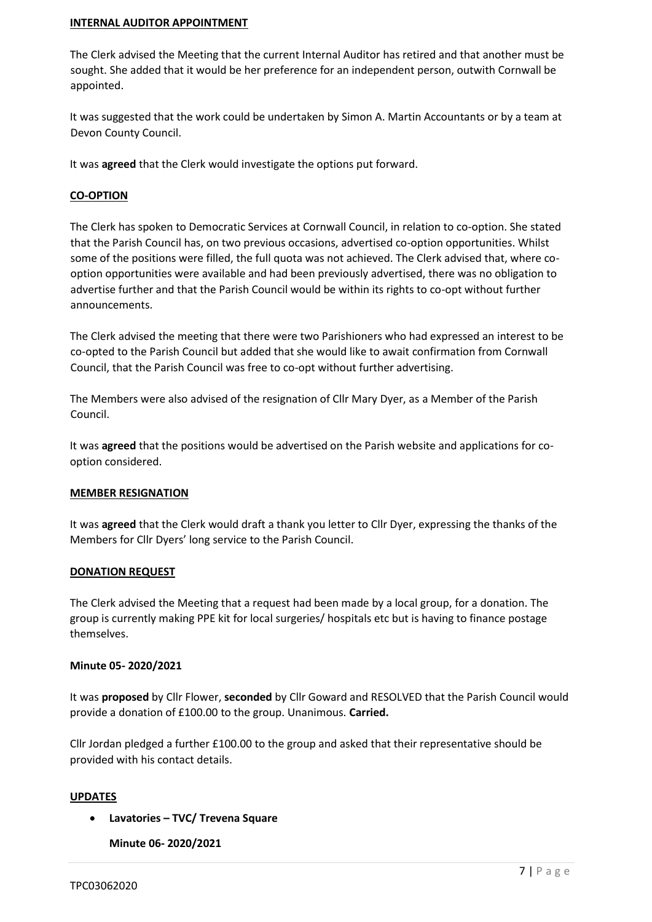#### **INTERNAL AUDITOR APPOINTMENT**

The Clerk advised the Meeting that the current Internal Auditor has retired and that another must be sought. She added that it would be her preference for an independent person, outwith Cornwall be appointed.

It was suggested that the work could be undertaken by Simon A. Martin Accountants or by a team at Devon County Council.

It was **agreed** that the Clerk would investigate the options put forward.

#### **CO-OPTION**

The Clerk has spoken to Democratic Services at Cornwall Council, in relation to co-option. She stated that the Parish Council has, on two previous occasions, advertised co-option opportunities. Whilst some of the positions were filled, the full quota was not achieved. The Clerk advised that, where cooption opportunities were available and had been previously advertised, there was no obligation to advertise further and that the Parish Council would be within its rights to co-opt without further announcements.

The Clerk advised the meeting that there were two Parishioners who had expressed an interest to be co-opted to the Parish Council but added that she would like to await confirmation from Cornwall Council, that the Parish Council was free to co-opt without further advertising.

The Members were also advised of the resignation of Cllr Mary Dyer, as a Member of the Parish Council.

It was **agreed** that the positions would be advertised on the Parish website and applications for cooption considered.

#### **MEMBER RESIGNATION**

It was **agreed** that the Clerk would draft a thank you letter to Cllr Dyer, expressing the thanks of the Members for Cllr Dyers' long service to the Parish Council.

#### **DONATION REQUEST**

The Clerk advised the Meeting that a request had been made by a local group, for a donation. The group is currently making PPE kit for local surgeries/ hospitals etc but is having to finance postage themselves.

#### **Minute 05- 2020/2021**

It was **proposed** by Cllr Flower, **seconded** by Cllr Goward and RESOLVED that the Parish Council would provide a donation of £100.00 to the group. Unanimous. **Carried.**

Cllr Jordan pledged a further £100.00 to the group and asked that their representative should be provided with his contact details.

#### **UPDATES**

• **Lavatories – TVC/ Trevena Square**

**Minute 06- 2020/2021**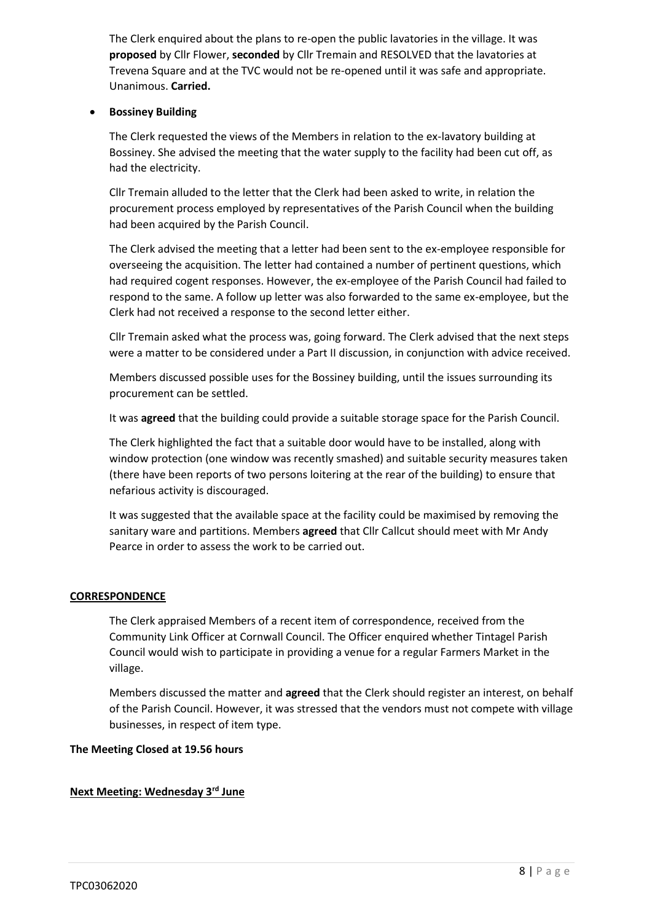The Clerk enquired about the plans to re-open the public lavatories in the village. It was **proposed** by Cllr Flower, **seconded** by Cllr Tremain and RESOLVED that the lavatories at Trevena Square and at the TVC would not be re-opened until it was safe and appropriate. Unanimous. **Carried.**

### • **Bossiney Building**

The Clerk requested the views of the Members in relation to the ex-lavatory building at Bossiney. She advised the meeting that the water supply to the facility had been cut off, as had the electricity.

Cllr Tremain alluded to the letter that the Clerk had been asked to write, in relation the procurement process employed by representatives of the Parish Council when the building had been acquired by the Parish Council.

The Clerk advised the meeting that a letter had been sent to the ex-employee responsible for overseeing the acquisition. The letter had contained a number of pertinent questions, which had required cogent responses. However, the ex-employee of the Parish Council had failed to respond to the same. A follow up letter was also forwarded to the same ex-employee, but the Clerk had not received a response to the second letter either.

Cllr Tremain asked what the process was, going forward. The Clerk advised that the next steps were a matter to be considered under a Part II discussion, in conjunction with advice received.

Members discussed possible uses for the Bossiney building, until the issues surrounding its procurement can be settled.

It was **agreed** that the building could provide a suitable storage space for the Parish Council.

The Clerk highlighted the fact that a suitable door would have to be installed, along with window protection (one window was recently smashed) and suitable security measures taken (there have been reports of two persons loitering at the rear of the building) to ensure that nefarious activity is discouraged.

It was suggested that the available space at the facility could be maximised by removing the sanitary ware and partitions. Members **agreed** that Cllr Callcut should meet with Mr Andy Pearce in order to assess the work to be carried out.

#### **CORRESPONDENCE**

The Clerk appraised Members of a recent item of correspondence, received from the Community Link Officer at Cornwall Council. The Officer enquired whether Tintagel Parish Council would wish to participate in providing a venue for a regular Farmers Market in the village.

Members discussed the matter and **agreed** that the Clerk should register an interest, on behalf of the Parish Council. However, it was stressed that the vendors must not compete with village businesses, in respect of item type.

#### **The Meeting Closed at 19.56 hours**

# **Next Meeting: Wednesday 3rd June**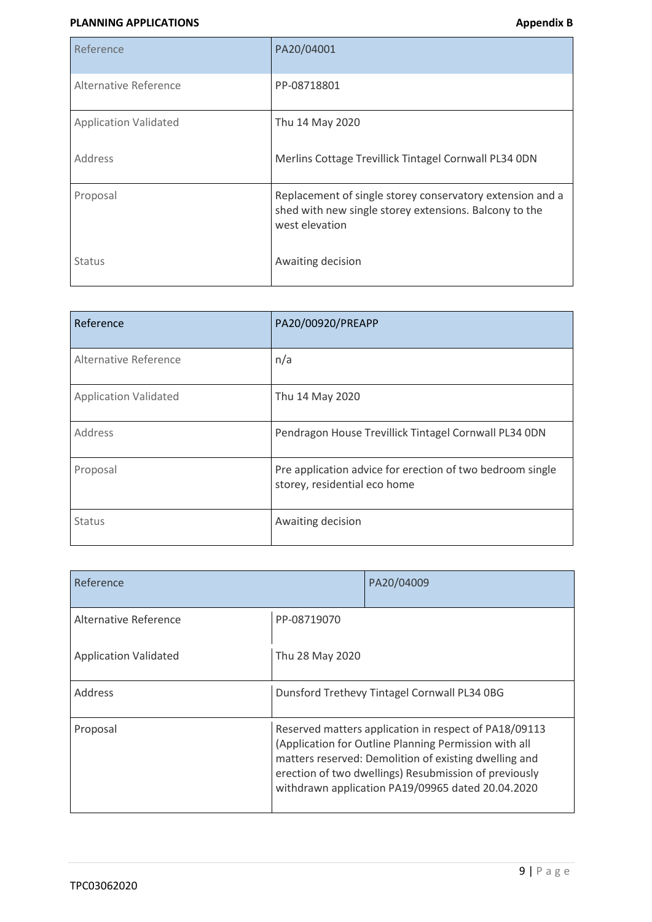#### **PLANNING APPLICATIONS Appendix B**

| Reference                    | PA20/04001                                                                                                                            |
|------------------------------|---------------------------------------------------------------------------------------------------------------------------------------|
| Alternative Reference        | PP-08718801                                                                                                                           |
| <b>Application Validated</b> | Thu 14 May 2020                                                                                                                       |
| Address                      | Merlins Cottage Trevillick Tintagel Cornwall PL34 0DN                                                                                 |
| Proposal                     | Replacement of single storey conservatory extension and a<br>shed with new single storey extensions. Balcony to the<br>west elevation |
| <b>Status</b>                | Awaiting decision                                                                                                                     |

| Reference                    | PA20/00920/PREAPP                                                                         |
|------------------------------|-------------------------------------------------------------------------------------------|
| Alternative Reference        | n/a                                                                                       |
| <b>Application Validated</b> | Thu 14 May 2020                                                                           |
| Address                      | Pendragon House Trevillick Tintagel Cornwall PL34 ODN                                     |
| Proposal                     | Pre application advice for erection of two bedroom single<br>storey, residential eco home |
| <b>Status</b>                | Awaiting decision                                                                         |

| Reference                    |                                                                                                                                                                                                                                                                                       | PA20/04009 |  |  |
|------------------------------|---------------------------------------------------------------------------------------------------------------------------------------------------------------------------------------------------------------------------------------------------------------------------------------|------------|--|--|
| Alternative Reference        | PP-08719070                                                                                                                                                                                                                                                                           |            |  |  |
| <b>Application Validated</b> | Thu 28 May 2020                                                                                                                                                                                                                                                                       |            |  |  |
| <b>Address</b>               | Dunsford Trethevy Tintagel Cornwall PL34 0BG                                                                                                                                                                                                                                          |            |  |  |
| Proposal                     | Reserved matters application in respect of PA18/09113<br>(Application for Outline Planning Permission with all<br>matters reserved: Demolition of existing dwelling and<br>erection of two dwellings) Resubmission of previously<br>withdrawn application PA19/09965 dated 20.04.2020 |            |  |  |